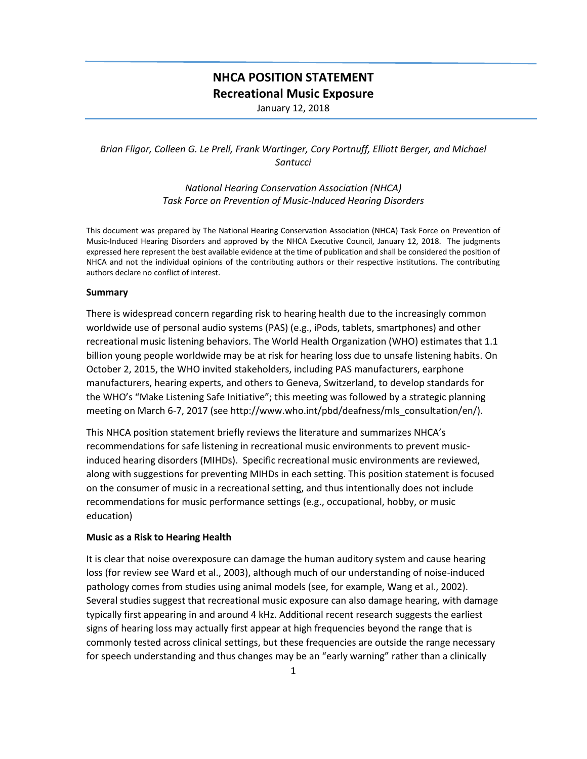# **NHCA POSITION STATEMENT Recreational Music Exposure**

January 12, 2018

## *Brian Fligor, Colleen G. Le Prell, Frank Wartinger, Cory Portnuff, Elliott Berger, and Michael Santucci*

*National Hearing Conservation Association (NHCA) Task Force on Prevention of Music-Induced Hearing Disorders*

This document was prepared by The National Hearing Conservation Association (NHCA) Task Force on Prevention of Music-Induced Hearing Disorders and approved by the NHCA Executive Council, January 12, 2018. The judgments expressed here represent the best available evidence at the time of publication and shall be considered the position of NHCA and not the individual opinions of the contributing authors or their respective institutions. The contributing authors declare no conflict of interest.

#### **Summary**

There is widespread concern regarding risk to hearing health due to the increasingly common worldwide use of personal audio systems (PAS) (e.g., iPods, tablets, smartphones) and other recreational music listening behaviors. The World Health Organization (WHO) estimates that 1.1 billion young people worldwide may be at risk for hearing loss due to unsafe listening habits. On October 2, 2015, the WHO invited stakeholders, including PAS manufacturers, earphone manufacturers, hearing experts, and others to Geneva, Switzerland, to develop standards for the WHO's "Make Listening Safe Initiative"; this meeting was followed by a strategic planning meeting on March 6-7, 2017 (see http://www.who.int/pbd/deafness/mls\_consultation/en/).

This NHCA position statement briefly reviews the literature and summarizes NHCA's recommendations for safe listening in recreational music environments to prevent musicinduced hearing disorders (MIHDs). Specific recreational music environments are reviewed, along with suggestions for preventing MIHDs in each setting. This position statement is focused on the consumer of music in a recreational setting, and thus intentionally does not include recommendations for music performance settings (e.g., occupational, hobby, or music education)

## **Music as a Risk to Hearing Health**

It is clear that noise overexposure can damage the human auditory system and cause hearing loss (for review see Ward et al., 2003), although much of our understanding of noise-induced pathology comes from studies using animal models (see, for example, Wang et al., 2002). Several studies suggest that recreational music exposure can also damage hearing, with damage typically first appearing in and around 4 kHz. Additional recent research suggests the earliest signs of hearing loss may actually first appear at high frequencies beyond the range that is commonly tested across clinical settings, but these frequencies are outside the range necessary for speech understanding and thus changes may be an "early warning" rather than a clinically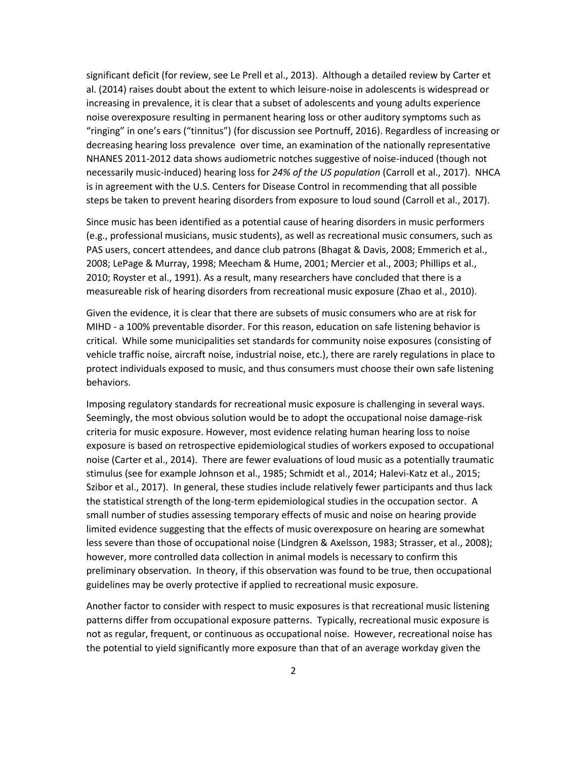significant deficit (for review, see Le Prell et al., 2013). Although a detailed review by Carter et al. (2014) raises doubt about the extent to which leisure-noise in adolescents is widespread or increasing in prevalence, it is clear that a subset of adolescents and young adults experience noise overexposure resulting in permanent hearing loss or other auditory symptoms such as "ringing" in one's ears ("tinnitus") (for discussion see Portnuff, 2016). Regardless of increasing or decreasing hearing loss prevalence over time, an examination of the nationally representative NHANES 2011-2012 data shows audiometric notches suggestive of noise-induced (though not necessarily music-induced) hearing loss for *24% of the US population* (Carroll et al., 2017). NHCA is in agreement with the U.S. Centers for Disease Control in recommending that all possible steps be taken to prevent hearing disorders from exposure to loud sound (Carroll et al., 2017).

Since music has been identified as a potential cause of hearing disorders in music performers (e.g., professional musicians, music students), as well as recreational music consumers, such as PAS users, concert attendees, and dance club patrons (Bhagat & Davis, 2008; Emmerich et al., 2008; LePage & Murray, 1998; Meecham & Hume, 2001; Mercier et al., 2003; Phillips et al., 2010; Royster et al., 1991). As a result, many researchers have concluded that there is a measureable risk of hearing disorders from recreational music exposure (Zhao et al., 2010).

Given the evidence, it is clear that there are subsets of music consumers who are at risk for MIHD - a 100% preventable disorder. For this reason, education on safe listening behavior is critical. While some municipalities set standards for community noise exposures (consisting of vehicle traffic noise, aircraft noise, industrial noise, etc.), there are rarely regulations in place to protect individuals exposed to music, and thus consumers must choose their own safe listening behaviors.

Imposing regulatory standards for recreational music exposure is challenging in several ways. Seemingly, the most obvious solution would be to adopt the occupational noise damage-risk criteria for music exposure. However, most evidence relating human hearing loss to noise exposure is based on retrospective epidemiological studies of workers exposed to occupational noise (Carter et al., 2014). There are fewer evaluations of loud music as a potentially traumatic stimulus (see for example Johnson et al., 1985; Schmidt et al., 2014; Halevi-Katz et al., 2015; Szibor et al., 2017). In general, these studies include relatively fewer participants and thus lack the statistical strength of the long-term epidemiological studies in the occupation sector. A small number of studies assessing temporary effects of music and noise on hearing provide limited evidence suggesting that the effects of music overexposure on hearing are somewhat less severe than those of occupational noise (Lindgren & Axelsson, 1983; Strasser, et al., 2008); however, more controlled data collection in animal models is necessary to confirm this preliminary observation. In theory, if this observation was found to be true, then occupational guidelines may be overly protective if applied to recreational music exposure.

Another factor to consider with respect to music exposures is that recreational music listening patterns differ from occupational exposure patterns. Typically, recreational music exposure is not as regular, frequent, or continuous as occupational noise. However, recreational noise has the potential to yield significantly more exposure than that of an average workday given the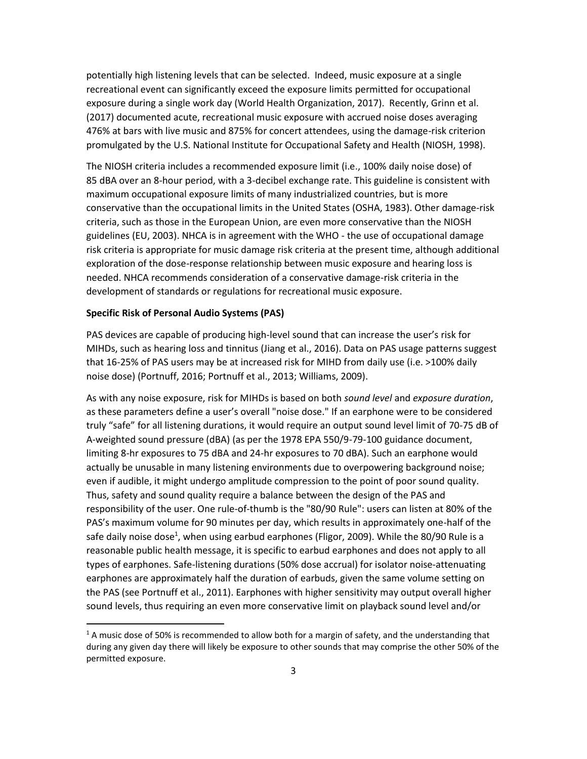potentially high listening levels that can be selected. Indeed, music exposure at a single recreational event can significantly exceed the exposure limits permitted for occupational exposure during a single work day (World Health Organization, 2017). Recently, Grinn et al. (2017) documented acute, recreational music exposure with accrued noise doses averaging 476% at bars with live music and 875% for concert attendees, using the damage-risk criterion promulgated by the U.S. National Institute for Occupational Safety and Health (NIOSH, 1998).

The NIOSH criteria includes a recommended exposure limit (i.e., 100% daily noise dose) of 85 dBA over an 8-hour period, with a 3-decibel exchange rate. This guideline is consistent with maximum occupational exposure limits of many industrialized countries, but is more conservative than the occupational limits in the United States (OSHA, 1983). Other damage-risk criteria, such as those in the European Union, are even more conservative than the NIOSH guidelines (EU, 2003). NHCA is in agreement with the WHO - the use of occupational damage risk criteria is appropriate for music damage risk criteria at the present time, although additional exploration of the dose-response relationship between music exposure and hearing loss is needed. NHCA recommends consideration of a conservative damage-risk criteria in the development of standards or regulations for recreational music exposure.

### **Specific Risk of Personal Audio Systems (PAS)**

 $\overline{a}$ 

PAS devices are capable of producing high-level sound that can increase the user's risk for MIHDs, such as hearing loss and tinnitus (Jiang et al., 2016). Data on PAS usage patterns suggest that 16-25% of PAS users may be at increased risk for MIHD from daily use (i.e. >100% daily noise dose) (Portnuff, 2016; Portnuff et al., 2013; Williams, 2009).

As with any noise exposure, risk for MIHDs is based on both *sound level* and *exposure duration*, as these parameters define a user's overall "noise dose." If an earphone were to be considered truly "safe" for all listening durations, it would require an output sound level limit of 70-75 dB of A-weighted sound pressure (dBA) (as per the 1978 EPA 550/9-79-100 guidance document, limiting 8-hr exposures to 75 dBA and 24-hr exposures to 70 dBA). Such an earphone would actually be unusable in many listening environments due to overpowering background noise; even if audible, it might undergo amplitude compression to the point of poor sound quality. Thus, safety and sound quality require a balance between the design of the PAS and responsibility of the user. One rule-of-thumb is the "80/90 Rule": users can listen at 80% of the PAS's maximum volume for 90 minutes per day, which results in approximately one-half of the safe daily noise dose<sup>1</sup>, when using earbud earphones (Fligor, 2009). While the 80/90 Rule is a reasonable public health message, it is specific to earbud earphones and does not apply to all types of earphones. Safe-listening durations (50% dose accrual) for isolator noise-attenuating earphones are approximately half the duration of earbuds, given the same volume setting on the PAS (see Portnuff et al., 2011). Earphones with higher sensitivity may output overall higher sound levels, thus requiring an even more conservative limit on playback sound level and/or

<sup>&</sup>lt;sup>1</sup> A music dose of 50% is recommended to allow both for a margin of safety, and the understanding that during any given day there will likely be exposure to other sounds that may comprise the other 50% of the permitted exposure.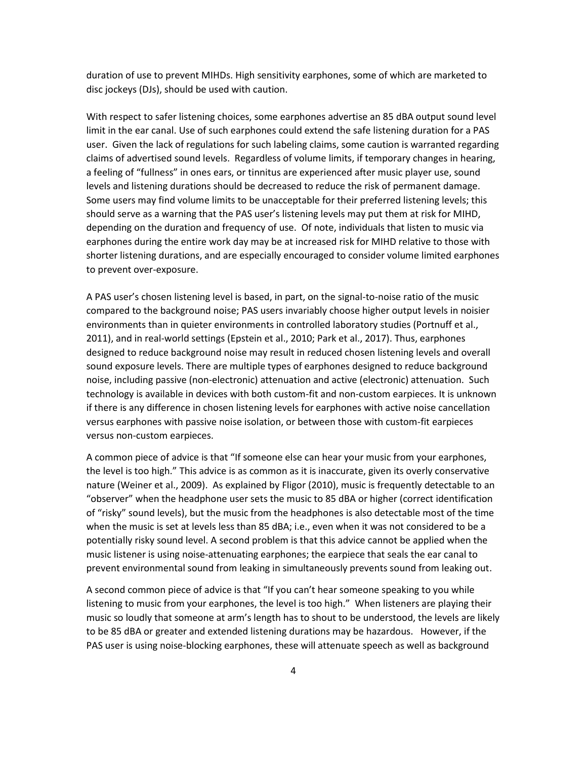duration of use to prevent MIHDs. High sensitivity earphones, some of which are marketed to disc jockeys (DJs), should be used with caution.

With respect to safer listening choices, some earphones advertise an 85 dBA output sound level limit in the ear canal. Use of such earphones could extend the safe listening duration for a PAS user. Given the lack of regulations for such labeling claims, some caution is warranted regarding claims of advertised sound levels. Regardless of volume limits, if temporary changes in hearing, a feeling of "fullness" in ones ears, or tinnitus are experienced after music player use, sound levels and listening durations should be decreased to reduce the risk of permanent damage. Some users may find volume limits to be unacceptable for their preferred listening levels; this should serve as a warning that the PAS user's listening levels may put them at risk for MIHD, depending on the duration and frequency of use. Of note, individuals that listen to music via earphones during the entire work day may be at increased risk for MIHD relative to those with shorter listening durations, and are especially encouraged to consider volume limited earphones to prevent over-exposure.

A PAS user's chosen listening level is based, in part, on the signal-to-noise ratio of the music compared to the background noise; PAS users invariably choose higher output levels in noisier environments than in quieter environments in controlled laboratory studies (Portnuff et al., 2011), and in real-world settings (Epstein et al., 2010; Park et al., 2017). Thus, earphones designed to reduce background noise may result in reduced chosen listening levels and overall sound exposure levels. There are multiple types of earphones designed to reduce background noise, including passive (non-electronic) attenuation and active (electronic) attenuation. Such technology is available in devices with both custom-fit and non-custom earpieces. It is unknown if there is any difference in chosen listening levels for earphones with active noise cancellation versus earphones with passive noise isolation, or between those with custom-fit earpieces versus non-custom earpieces.

A common piece of advice is that "If someone else can hear your music from your earphones, the level is too high." This advice is as common as it is inaccurate, given its overly conservative nature (Weiner et al., 2009). As explained by Fligor (2010), music is frequently detectable to an "observer" when the headphone user sets the music to 85 dBA or higher (correct identification of "risky" sound levels), but the music from the headphones is also detectable most of the time when the music is set at levels less than 85 dBA; i.e., even when it was not considered to be a potentially risky sound level. A second problem is that this advice cannot be applied when the music listener is using noise-attenuating earphones; the earpiece that seals the ear canal to prevent environmental sound from leaking in simultaneously prevents sound from leaking out.

A second common piece of advice is that "If you can't hear someone speaking to you while listening to music from your earphones, the level is too high." When listeners are playing their music so loudly that someone at arm's length has to shout to be understood, the levels are likely to be 85 dBA or greater and extended listening durations may be hazardous. However, if the PAS user is using noise-blocking earphones, these will attenuate speech as well as background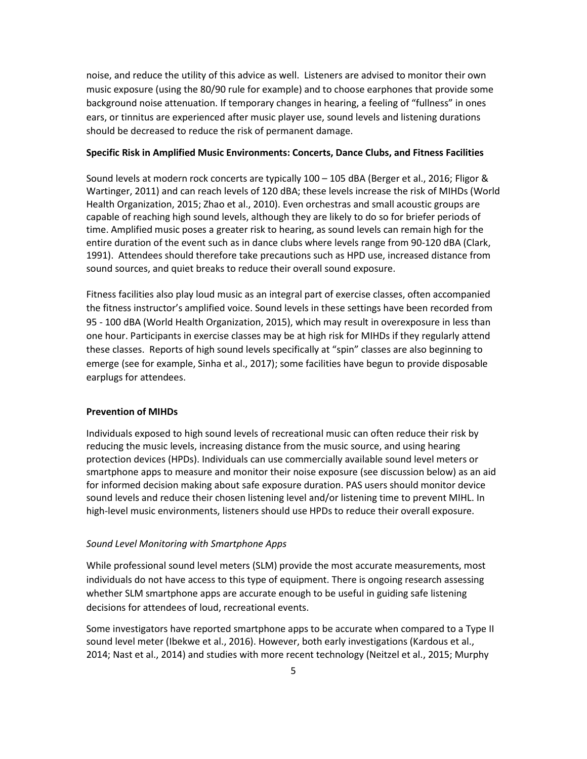noise, and reduce the utility of this advice as well. Listeners are advised to monitor their own music exposure (using the 80/90 rule for example) and to choose earphones that provide some background noise attenuation. If temporary changes in hearing, a feeling of "fullness" in ones ears, or tinnitus are experienced after music player use, sound levels and listening durations should be decreased to reduce the risk of permanent damage.

## **Specific Risk in Amplified Music Environments: Concerts, Dance Clubs, and Fitness Facilities**

Sound levels at modern rock concerts are typically 100 – 105 dBA (Berger et al., 2016; Fligor & Wartinger, 2011) and can reach levels of 120 dBA; these levels increase the risk of MIHDs (World Health Organization, 2015; Zhao et al., 2010). Even orchestras and small acoustic groups are capable of reaching high sound levels, although they are likely to do so for briefer periods of time. Amplified music poses a greater risk to hearing, as sound levels can remain high for the entire duration of the event such as in dance clubs where levels range from 90-120 dBA (Clark, 1991). Attendees should therefore take precautions such as HPD use, increased distance from sound sources, and quiet breaks to reduce their overall sound exposure.

Fitness facilities also play loud music as an integral part of exercise classes, often accompanied the fitness instructor's amplified voice. Sound levels in these settings have been recorded from 95 - 100 dBA (World Health Organization, 2015), which may result in overexposure in less than one hour. Participants in exercise classes may be at high risk for MIHDs if they regularly attend these classes. Reports of high sound levels specifically at "spin" classes are also beginning to emerge (see for example, Sinha et al., 2017); some facilities have begun to provide disposable earplugs for attendees.

#### **Prevention of MIHDs**

Individuals exposed to high sound levels of recreational music can often reduce their risk by reducing the music levels, increasing distance from the music source, and using hearing protection devices (HPDs). Individuals can use commercially available sound level meters or smartphone apps to measure and monitor their noise exposure (see discussion below) as an aid for informed decision making about safe exposure duration. PAS users should monitor device sound levels and reduce their chosen listening level and/or listening time to prevent MIHL. In high-level music environments, listeners should use HPDs to reduce their overall exposure.

#### *Sound Level Monitoring with Smartphone Apps*

While professional sound level meters (SLM) provide the most accurate measurements, most individuals do not have access to this type of equipment. There is ongoing research assessing whether SLM smartphone apps are accurate enough to be useful in guiding safe listening decisions for attendees of loud, recreational events.

Some investigators have reported smartphone apps to be accurate when compared to a Type II sound level meter (Ibekwe et al., 2016). However, both early investigations (Kardous et al., 2014; Nast et al., 2014) and studies with more recent technology (Neitzel et al., 2015; Murphy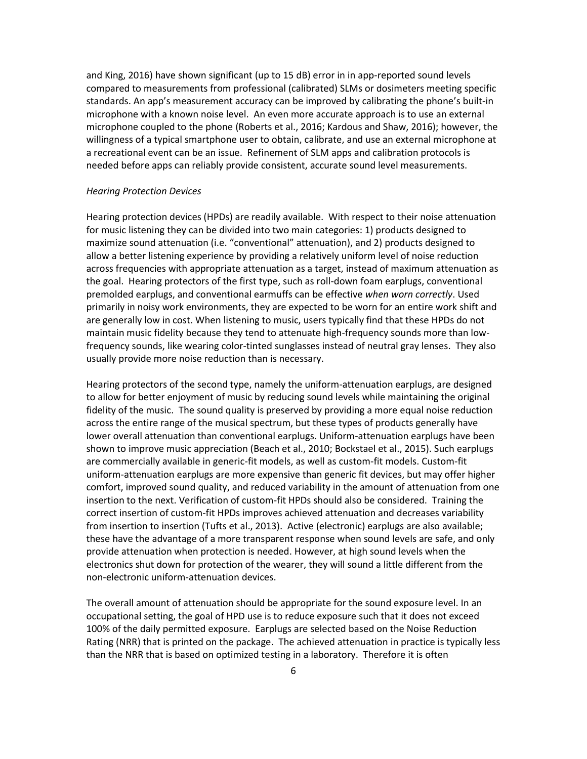and King, 2016) have shown significant (up to 15 dB) error in in app-reported sound levels compared to measurements from professional (calibrated) SLMs or dosimeters meeting specific standards. An app's measurement accuracy can be improved by calibrating the phone's built-in microphone with a known noise level. An even more accurate approach is to use an external microphone coupled to the phone (Roberts et al., 2016; Kardous and Shaw, 2016); however, the willingness of a typical smartphone user to obtain, calibrate, and use an external microphone at a recreational event can be an issue. Refinement of SLM apps and calibration protocols is needed before apps can reliably provide consistent, accurate sound level measurements.

#### *Hearing Protection Devices*

Hearing protection devices (HPDs) are readily available. With respect to their noise attenuation for music listening they can be divided into two main categories: 1) products designed to maximize sound attenuation (i.e. "conventional" attenuation), and 2) products designed to allow a better listening experience by providing a relatively uniform level of noise reduction across frequencies with appropriate attenuation as a target, instead of maximum attenuation as the goal. Hearing protectors of the first type, such as roll-down foam earplugs, conventional premolded earplugs, and conventional earmuffs can be effective *when worn correctly*. Used primarily in noisy work environments, they are expected to be worn for an entire work shift and are generally low in cost. When listening to music, users typically find that these HPDs do not maintain music fidelity because they tend to attenuate high-frequency sounds more than lowfrequency sounds, like wearing color-tinted sunglasses instead of neutral gray lenses. They also usually provide more noise reduction than is necessary.

Hearing protectors of the second type, namely the uniform-attenuation earplugs, are designed to allow for better enjoyment of music by reducing sound levels while maintaining the original fidelity of the music. The sound quality is preserved by providing a more equal noise reduction across the entire range of the musical spectrum, but these types of products generally have lower overall attenuation than conventional earplugs. Uniform-attenuation earplugs have been shown to improve music appreciation (Beach et al., 2010; Bockstael et al., 2015). Such earplugs are commercially available in generic-fit models, as well as custom-fit models. Custom-fit uniform-attenuation earplugs are more expensive than generic fit devices, but may offer higher comfort, improved sound quality, and reduced variability in the amount of attenuation from one insertion to the next. Verification of custom-fit HPDs should also be considered. Training the correct insertion of custom-fit HPDs improves achieved attenuation and decreases variability from insertion to insertion (Tufts et al., 2013). Active (electronic) earplugs are also available; these have the advantage of a more transparent response when sound levels are safe, and only provide attenuation when protection is needed. However, at high sound levels when the electronics shut down for protection of the wearer, they will sound a little different from the non-electronic uniform-attenuation devices.

The overall amount of attenuation should be appropriate for the sound exposure level. In an occupational setting, the goal of HPD use is to reduce exposure such that it does not exceed 100% of the daily permitted exposure. Earplugs are selected based on the Noise Reduction Rating (NRR) that is printed on the package. The achieved attenuation in practice is typically less than the NRR that is based on optimized testing in a laboratory. Therefore it is often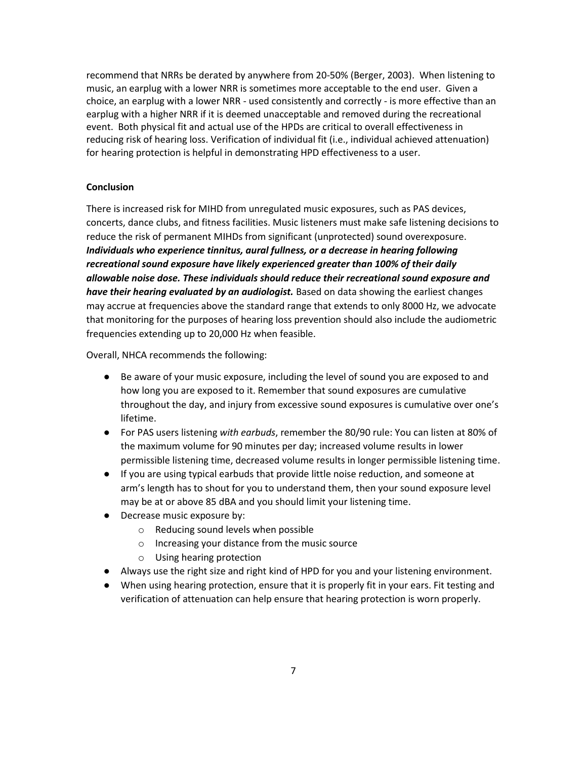recommend that NRRs be derated by anywhere from 20-50% (Berger, 2003). When listening to music, an earplug with a lower NRR is sometimes more acceptable to the end user. Given a choice, an earplug with a lower NRR - used consistently and correctly - is more effective than an earplug with a higher NRR if it is deemed unacceptable and removed during the recreational event. Both physical fit and actual use of the HPDs are critical to overall effectiveness in reducing risk of hearing loss. Verification of individual fit (i.e., individual achieved attenuation) for hearing protection is helpful in demonstrating HPD effectiveness to a user.

## **Conclusion**

There is increased risk for MIHD from unregulated music exposures, such as PAS devices, concerts, dance clubs, and fitness facilities. Music listeners must make safe listening decisions to reduce the risk of permanent MIHDs from significant (unprotected) sound overexposure. *Individuals who experience tinnitus, aural fullness, or a decrease in hearing following recreational sound exposure have likely experienced greater than 100% of their daily allowable noise dose. These individuals should reduce their recreational sound exposure and have their hearing evaluated by an audiologist.* Based on data showing the earliest changes may accrue at frequencies above the standard range that extends to only 8000 Hz, we advocate that monitoring for the purposes of hearing loss prevention should also include the audiometric frequencies extending up to 20,000 Hz when feasible.

Overall, NHCA recommends the following:

- Be aware of your music exposure, including the level of sound you are exposed to and how long you are exposed to it. Remember that sound exposures are cumulative throughout the day, and injury from excessive sound exposures is cumulative over one's lifetime.
- For PAS users listening *with earbuds*, remember the 80/90 rule: You can listen at 80% of the maximum volume for 90 minutes per day; increased volume results in lower permissible listening time, decreased volume results in longer permissible listening time.
- If you are using typical earbuds that provide little noise reduction, and someone at arm's length has to shout for you to understand them, then your sound exposure level may be at or above 85 dBA and you should limit your listening time.
- Decrease music exposure by:
	- o Reducing sound levels when possible
	- o Increasing your distance from the music source
	- o Using hearing protection
- Always use the right size and right kind of HPD for you and your listening environment.
- When using hearing protection, ensure that it is properly fit in your ears. Fit testing and verification of attenuation can help ensure that hearing protection is worn properly.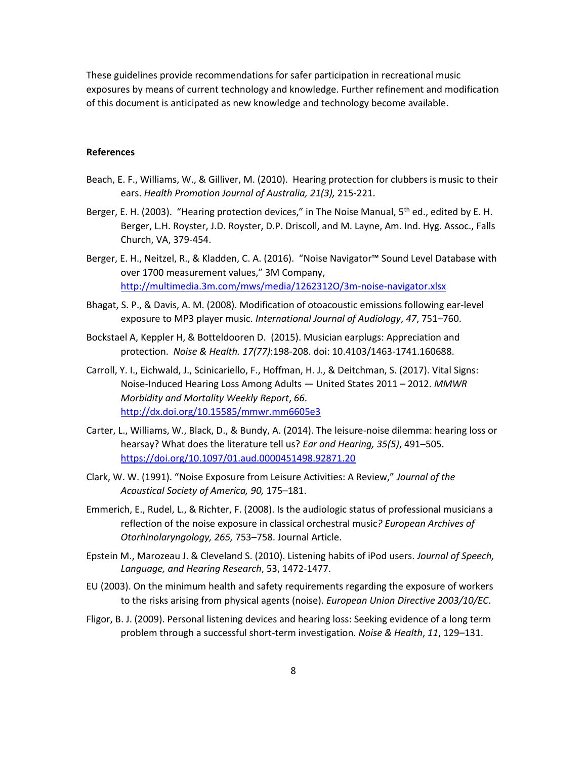These guidelines provide recommendations for safer participation in recreational music exposures by means of current technology and knowledge. Further refinement and modification of this document is anticipated as new knowledge and technology become available.

## **References**

- Beach, E. F., Williams, W., & Gilliver, M. (2010). Hearing protection for clubbers is music to their ears. *Health Promotion Journal of Australia, 21(3),* 215-221.
- Berger, E. H. (2003). "Hearing protection devices," in The Noise Manual, 5<sup>th</sup> ed., edited by E. H. Berger, L.H. Royster, J.D. Royster, D.P. Driscoll, and M. Layne, Am. Ind. Hyg. Assoc., Falls Church, VA, 379-454.
- Berger, E. H., Neitzel, R., & Kladden, C. A. (2016). "Noise Navigator™ Sound Level Database with over 1700 measurement values," 3M Company, <http://multimedia.3m.com/mws/media/1262312O/3m-noise-navigator.xlsx>
- Bhagat, S. P., & Davis, A. M. (2008). Modification of otoacoustic emissions following ear-level exposure to MP3 player music. *International Journal of Audiology*, *47*, 751–760.
- Bockstael A, Keppler H, & Botteldooren D. (2015). Musician earplugs: Appreciation and protection. *Noise & Health. 17(77)*:198-208. doi: 10.4103/1463-1741.160688.
- Carroll, Y. I., Eichwald, J., Scinicariello, F., Hoffman, H. J., & Deitchman, S. (2017). Vital Signs: Noise-Induced Hearing Loss Among Adults — United States 2011 – 2012. *MMWR Morbidity and Mortality Weekly Report*, *66*. <http://dx.doi.org/10.15585/mmwr.mm6605e3>
- Carter, L., Williams, W., Black, D., & Bundy, A. (2014). The leisure-noise dilemma: hearing loss or hearsay? What does the literature tell us? *Ear and Hearing, 35(5)*, 491–505. <https://doi.org/10.1097/01.aud.0000451498.92871.20>
- Clark, W. W. (1991). "Noise Exposure from Leisure Activities: A Review," *Journal of the Acoustical Society of America, 90,* 175–181.
- Emmerich, E., Rudel, L., & Richter, F. (2008). Is the audiologic status of professional musicians a reflection of the noise exposure in classical orchestral music*? European Archives of Otorhinolaryngology, 265,* 753–758. Journal Article.
- Epstein M., Marozeau J. & Cleveland S. (2010). Listening habits of iPod users. *Journal of Speech, Language, and Hearing Research*, 53, 1472-1477.
- EU (2003). On the minimum health and safety requirements regarding the exposure of workers to the risks arising from physical agents (noise). *European Union Directive 2003/10/EC*.
- Fligor, B. J. (2009). Personal listening devices and hearing loss: Seeking evidence of a long term problem through a successful short-term investigation. *Noise & Health*, *11*, 129–131.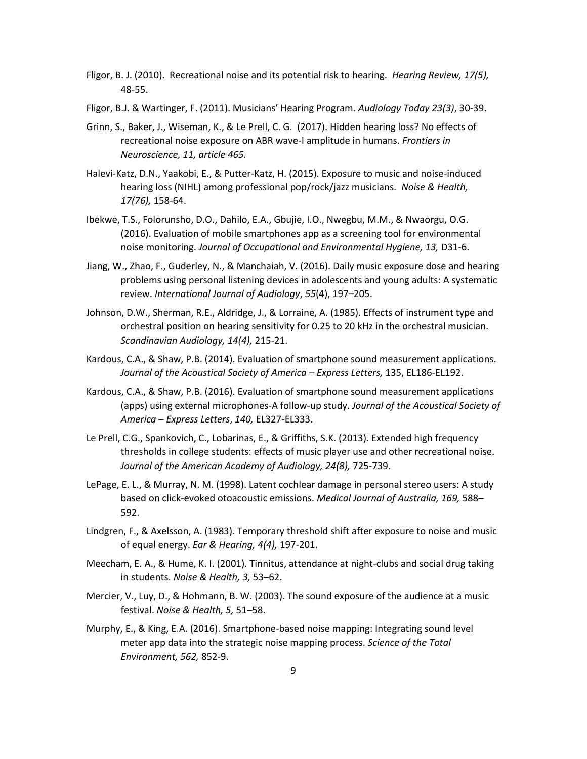- Fligor, B. J. (2010). Recreational noise and its potential risk to hearing. *Hearing Review, 17(5),* 48-55.
- Fligor, B.J. & Wartinger, F. (2011). Musicians' Hearing Program. *Audiology Today 23(3)*, 30-39.
- Grinn, S., Baker, J., Wiseman, K., & Le Prell, C. G. (2017). Hidden hearing loss? No effects of recreational noise exposure on ABR wave-I amplitude in humans. *Frontiers in Neuroscience, 11, article 465.*
- Halevi-Katz, D.N., Yaakobi, E., & Putter-Katz, H. (2015). Exposure to music and noise-induced hearing loss (NIHL) among professional pop/rock/jazz musicians. *Noise & Health, 17(76),* 158-64.
- Ibekwe, T.S., Folorunsho, D.O., Dahilo, E.A., Gbujie, I.O., Nwegbu, M.M., & Nwaorgu, O.G. (2016). Evaluation of mobile smartphones app as a screening tool for environmental noise monitoring. *Journal of Occupational and Environmental Hygiene, 13,* D31-6.
- Jiang, W., Zhao, F., Guderley, N., & Manchaiah, V. (2016). Daily music exposure dose and hearing problems using personal listening devices in adolescents and young adults: A systematic review. *International Journal of Audiology*, *55*(4), 197–205.
- Johnson, D.W., Sherman, R.E., Aldridge, J., & Lorraine, A. (1985). Effects of instrument type and orchestral position on hearing sensitivity for 0.25 to 20 kHz in the orchestral musician. *Scandinavian Audiology, 14(4),* 215-21.
- Kardous, C.A., & Shaw, P.B. (2014). Evaluation of smartphone sound measurement applications. *Journal of the Acoustical Society of America – Express Letters,* 135, EL186-EL192.
- Kardous, C.A., & Shaw, P.B. (2016). Evaluation of smartphone sound measurement applications (apps) using external microphones-A follow-up study. *Journal of the Acoustical Society of America – Express Letters*, *140,* EL327-EL333.
- Le Prell, C.G., Spankovich, C., Lobarinas, E., & Griffiths, S.K. (2013). Extended high frequency thresholds in college students: effects of music player use and other recreational noise. *Journal of the American Academy of Audiology, 24(8),* 725-739.
- LePage, E. L., & Murray, N. M. (1998). Latent cochlear damage in personal stereo users: A study based on click-evoked otoacoustic emissions. *Medical Journal of Australia, 169,* 588– 592.
- Lindgren, F., & Axelsson, A. (1983). Temporary threshold shift after exposure to noise and music of equal energy. *Ear & Hearing, 4(4),* 197-201.
- Meecham, E. A., & Hume, K. I. (2001). Tinnitus, attendance at night-clubs and social drug taking in students. *Noise & Health, 3,* 53–62.
- Mercier, V., Luy, D., & Hohmann, B. W. (2003). The sound exposure of the audience at a music festival. *Noise & Health, 5,* 51–58.
- Murphy, E., & King, E.A. (2016). Smartphone-based noise mapping: Integrating sound level meter app data into the strategic noise mapping process. *Science of the Total Environment, 562,* 852-9.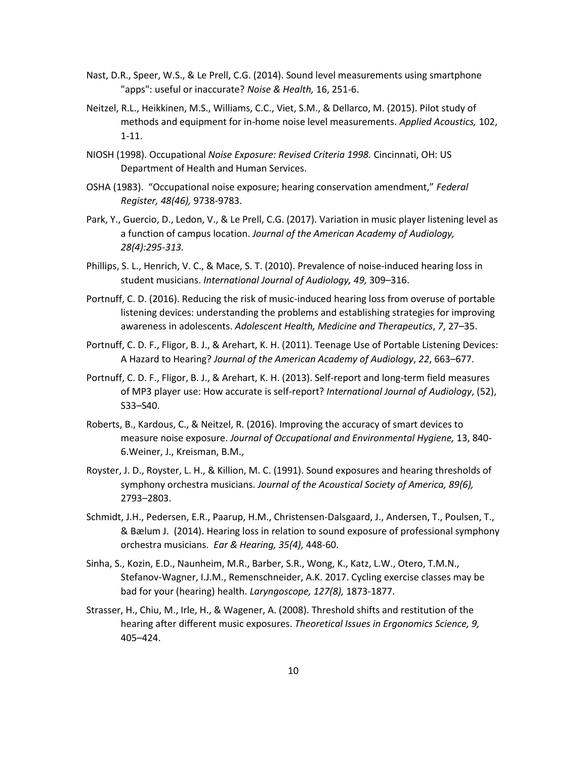- Nast, D.R., Speer, W.S., & Le Prell, C.G. (2014). Sound level measurements using smartphone "apps": useful or inaccurate? *Noise & Health,* 16, 251-6.
- Neitzel, R.L., Heikkinen, M.S., Williams, C.C., Viet, S.M., & Dellarco, M. (2015). Pilot study of methods and equipment for in-home noise level measurements. *Applied Acoustics,* 102, 1-11.
- NIOSH (1998). Occupational *Noise Exposure: Revised Criteria 1998.* Cincinnati, OH: US Department of Health and Human Services.
- OSHA (1983). "Occupational noise exposure; hearing conservation amendment," *Federal Register, 48(46),* 9738-9783.
- Park, Y., Guercio, D., Ledon, V., & Le Prell, C.G. (2017). Variation in music player listening level as a function of campus location. *Journal of the American Academy of Audiology, 28(4):295-313.*
- Phillips, S. L., Henrich, V. C., & Mace, S. T. (2010). Prevalence of noise-induced hearing loss in student musicians. *International Journal of Audiology, 49,* 309–316.
- Portnuff, C. D. (2016). Reducing the risk of music-induced hearing loss from overuse of portable listening devices: understanding the problems and establishing strategies for improving awareness in adolescents. *Adolescent Health, Medicine and Therapeutics*, *7*, 27–35.
- Portnuff, C. D. F., Fligor, B. J., & Arehart, K. H. (2011). Teenage Use of Portable Listening Devices: A Hazard to Hearing? *Journal of the American Academy of Audiology*, *22*, 663–677.
- Portnuff, C. D. F., Fligor, B. J., & Arehart, K. H. (2013). Self-report and long-term field measures of MP3 player use: How accurate is self-report? *International Journal of Audiology*, (52), S33–S40.
- Roberts, B., Kardous, C., & Neitzel, R. (2016). Improving the accuracy of smart devices to measure noise exposure. *Journal of Occupational and Environmental Hygiene,* 13, 840- 6.Weiner, J., Kreisman, B.M.,
- Royster, J. D., Royster, L. H., & Killion, M. C. (1991). Sound exposures and hearing thresholds of symphony orchestra musicians. *Journal of the Acoustical Society of America, 89(6),* 2793–2803.
- Schmidt, J.H., Pedersen, E.R., Paarup, H.M., Christensen-Dalsgaard, J., Andersen, T., Poulsen, T., & Bælum J. (2014). Hearing loss in relation to sound exposure of professional symphony orchestra musicians. *Ear & Hearing, 35(4),* 448-60.
- Sinha, S., Kozin, E.D., Naunheim, M.R., Barber, S.R., Wong, K., Katz, L.W., Otero, T.M.N., Stefanov-Wagner, I.J.M., Remenschneider, A.K. 2017. Cycling exercise classes may be bad for your (hearing) health. *Laryngoscope, 127(8),* 1873-1877.
- Strasser, H., Chiu, M., Irle, H., & Wagener, A. (2008). Threshold shifts and restitution of the hearing after different music exposures. *Theoretical Issues in Ergonomics Science, 9,* 405–424.